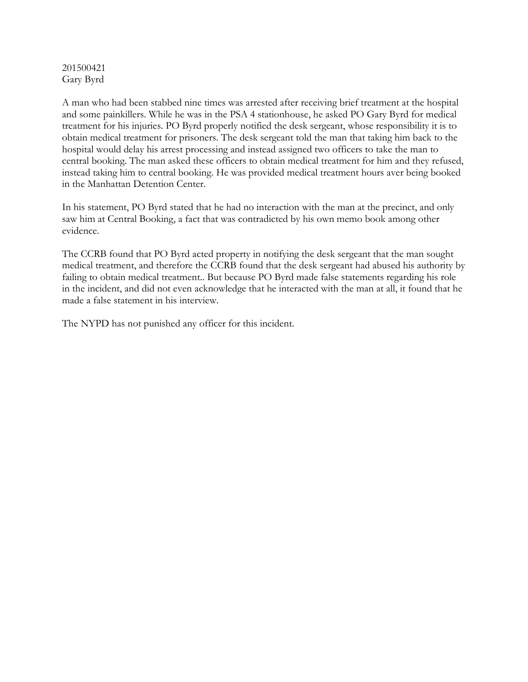## 201500421 Gary Byrd

A man who had been stabbed nine times was arrested after receiving brief treatment at the hospital and some painkillers. While he was in the PSA 4 stationhouse, he asked PO Gary Byrd for medical treatment for his injuries. PO Byrd properly notified the desk sergeant, whose responsibility it is to obtain medical treatment for prisoners. The desk sergeant told the man that taking him back to the hospital would delay his arrest processing and instead assigned two officers to take the man to central booking. The man asked these officers to obtain medical treatment for him and they refused, instead taking him to central booking. He was provided medical treatment hours aver being booked in the Manhattan Detention Center.

In his statement, PO Byrd stated that he had no interaction with the man at the precinct, and only saw him at Central Booking, a fact that was contradicted by his own memo book among other evidence.

The CCRB found that PO Byrd acted property in notifying the desk sergeant that the man sought medical treatment, and therefore the CCRB found that the desk sergeant had abused his authority by failing to obtain medical treatment.. But because PO Byrd made false statements regarding his role in the incident, and did not even acknowledge that he interacted with the man at all, it found that he made a false statement in his interview.

The NYPD has not punished any officer for this incident.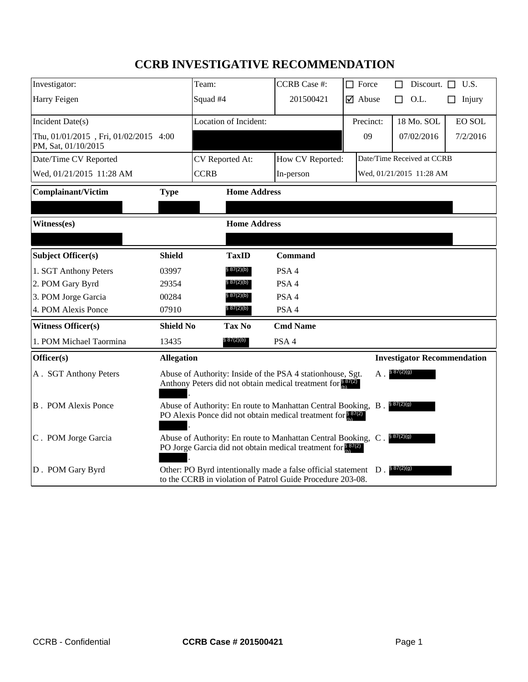# **CCRB INVESTIGATIVE RECOMMENDATION**

| Investigator:                                                |                                                                                                                                                         | Team:                 | <b>CCRB</b> Case #: | $\Box$ Force                  | Discourt. $\Box$ U.S.              |
|--------------------------------------------------------------|---------------------------------------------------------------------------------------------------------------------------------------------------------|-----------------------|---------------------|-------------------------------|------------------------------------|
| Harry Feigen                                                 |                                                                                                                                                         | Squad #4              | 201500421           | $\overline{\mathbf{y}}$ Abuse | O.L.<br>Injury<br>п<br>П           |
|                                                              |                                                                                                                                                         | Location of Incident: |                     | Precinct:                     | 18 Mo. SOL<br><b>EO SOL</b>        |
| Incident Date(s)                                             |                                                                                                                                                         |                       |                     |                               |                                    |
| Thu, 01/01/2015, Fri, 01/02/2015 4:00<br>PM, Sat, 01/10/2015 |                                                                                                                                                         |                       |                     | 09                            | 07/02/2016<br>7/2/2016             |
| Date/Time CV Reported                                        |                                                                                                                                                         | CV Reported At:       | How CV Reported:    |                               | Date/Time Received at CCRB         |
| Wed, 01/21/2015 11:28 AM                                     |                                                                                                                                                         | <b>CCRB</b>           | In-person           |                               | Wed, 01/21/2015 11:28 AM           |
| <b>Complainant/Victim</b>                                    | <b>Type</b>                                                                                                                                             | <b>Home Address</b>   |                     |                               |                                    |
|                                                              |                                                                                                                                                         |                       |                     |                               |                                    |
| Witness(es)                                                  |                                                                                                                                                         | <b>Home Address</b>   |                     |                               |                                    |
|                                                              |                                                                                                                                                         |                       |                     |                               |                                    |
| Subject Officer(s)                                           | <b>Shield</b>                                                                                                                                           | <b>TaxID</b>          | <b>Command</b>      |                               |                                    |
| 1. SGT Anthony Peters                                        | 03997                                                                                                                                                   | § 87(2)(b)            | PSA 4               |                               |                                    |
| 2. POM Gary Byrd                                             | 29354                                                                                                                                                   | § 87(2)(b)            | PSA <sub>4</sub>    |                               |                                    |
| 3. POM Jorge Garcia                                          | 00284                                                                                                                                                   | § 87(2)(b)            | PSA 4               |                               |                                    |
| 4. POM Alexis Ponce                                          | 07910                                                                                                                                                   | § 87(2)(b)            | PSA 4               |                               |                                    |
| <b>Witness Officer(s)</b>                                    | <b>Shield No</b>                                                                                                                                        | Tax No                | <b>Cmd Name</b>     |                               |                                    |
| 1. POM Michael Taormina                                      | 13435                                                                                                                                                   | § 87(2)(b)            | PSA 4               |                               |                                    |
| Officer(s)                                                   | <b>Allegation</b>                                                                                                                                       |                       |                     |                               | <b>Investigator Recommendation</b> |
| A. SGT Anthony Peters                                        | \$87(2)(g)<br>Abuse of Authority: Inside of the PSA 4 stationhouse, Sgt.<br>A .<br>Anthony Peters did not obtain medical treatment for $\frac{887}{60}$ |                       |                     |                               |                                    |
| <b>B</b> . POM Alexis Ponce                                  | Abuse of Authority: En route to Manhattan Central Booking, B. \$87(2)(9)<br>PO Alexis Ponce did not obtain medical treatment for $\frac{837(2)}{6}$     |                       |                     |                               |                                    |
| $ C$ . POM Jorge Garcia                                      | \$87(2)(g)<br>Abuse of Authority: En route to Manhattan Central Booking, C.<br>PO Jorge Garcia did not obtain medical treatment for 87(2)               |                       |                     |                               |                                    |
| D. POM Gary Byrd                                             | \$87(2)(g)<br>Other: PO Byrd intentionally made a false official statement D.<br>to the CCRB in violation of Patrol Guide Procedure 203-08.             |                       |                     |                               |                                    |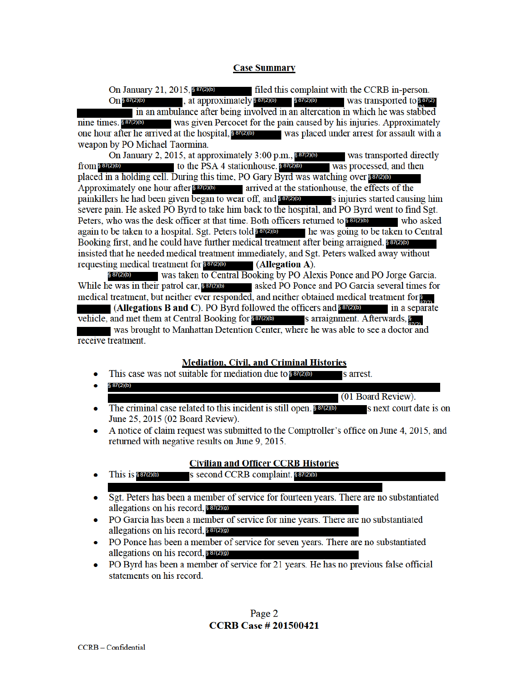## **Case Summary**

On January 21, 2015, § 87(2)(b) filed this complaint with the CCRB in-person. , at approximately § 87(2)(b) § 87(2)(b)  $On$  §  $87(2)(b)$ was transported to \$87(2) in an ambulance after being involved in an altercation in which he was stabbed nine times. \$87(2)(b) was given Percocet for the pain caused by his injuries. Approximately one hour after he arrived at the hospital, 887(2)(b) was placed under arrest for assault with a weapon by PO Michael Taormina.

On January 2, 2015, at approximately 3:00 p.m.,  $887200$  was transported directly from § 87(2)(b) to the PSA 4 stationhouse.  $$^{87(2)(b)}$ was processed, and then placed in a holding cell. During this time, PO Gary Byrd was watching over \$87(2)(b) Approximately one hour after 887(2)(b) arrived at the stationhouse, the effects of the painkillers he had been given began to wear off, and \$87(2)(b) s injuries started causing him severe pain. He asked PO Byrd to take him back to the hospital, and PO Byrd went to find Sgt. Peters, who was the desk officer at that time. Both officers returned to \$87(2)(b) who asked again to be taken to a hospital. Sgt. Peters told \$87(2)(b) the was going to be taken to Central Booking first, and he could have further medical treatment after being arraigned. 88700 insisted that he needed medical treatment immediately, and Sgt. Peters walked away without  $(Alleqation A).$ requesting medical treatment for \$87(2)(b)

§ 87(2)(b) was taken to Central Booking by PO Alexis Ponce and PO Jorge Garcia. While he was in their patrol car, **SET(210)** asked PO Ponce and PO Garcia several times for medical treatment, but neither ever responded, and neither obtained medical treatment for s (Allegations B and C). PO Byrd followed the officers and  $8\frac{87}{200}$ in a separate

vehicle, and met them at Central Booking for \$87(2)(b) s arraignment. Afterwards, S was brought to Manhattan Detention Center, where he was able to see a doctor and receive treatment.

#### **Mediation, Civil, and Criminal Histories**

- This case was not suitable for mediation due to **series** s arrest.
- § 87(2)(b)  $\bullet$ (01 Board Review).
- The criminal case related to this incident is still open. 887(2)(b) s next court date is on ۰ June 25, 2015 (02 Board Review).
- A notice of claim request was submitted to the Comptroller's office on June 4, 2015, and returned with negative results on June 9, 2015.

#### **Civilian and Officer CCRB Histories**

- This is  $$87(2)(b)$ s second CCRB complaint. 8 87(2)(b)  $\bullet$
- Sgt. Peters has been a member of service for fourteen years. There are no substantiated allegations on his record, 887(2)(9)
- PO Garcia has been a member of service for nine years. There are no substantiated  $\bullet$ allegations on his record, § 87(2)(g)
- PO Ponce has been a member of service for seven years. There are no substantiated allegations on his record, § 87(2)(g)
- PO Byrd has been a member of service for 21 years. He has no previous false official  $\bullet$ statements on his record.

Page 2 **CCRB Case # 201500421**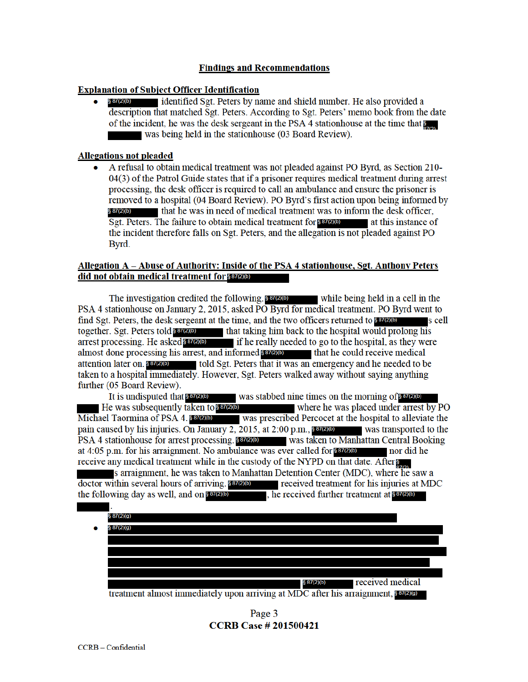## **Findings and Recommendations**

## **Explanation of Subject Officer Identification**

identified Sgt. Peters by name and shield number. He also provided a § 87(2)(b) description that matched Sgt. Peters. According to Sgt. Peters' memo book from the date of the incident, he was the desk sergeant in the PSA 4 station house at the time that 8 was being held in the stationhouse (03 Board Review).

## **Allegations not pleaded**

A refusal to obtain medical treatment was not pleaded against PO Byrd, as Section 210- $\bullet$ 04(3) of the Patrol Guide states that if a prisoner requires medical treatment during arrest processing, the desk officer is required to call an ambulance and ensure the prisoner is removed to a hospital (04 Board Review). PO Byrd's first action upon being informed by that he was in need of medical treatment was to inform the desk officer, Sgt. Peters. The failure to obtain medical treatment for \$ 87(2)(b) at this instance of the incident therefore falls on Sgt. Peters, and the allegation is not pleaded against PO Byrd.

## Allegation A - Abuse of Authority: Inside of the PSA 4 stationhouse, Sgt. Anthony Peters did not obtain medical treatment for \$87(2)(b)

The investigation credited the following. 837(2)(b) while being held in a cell in the PSA 4 stationhouse on January 2, 2015, asked PO Byrd for medical treatment. PO Byrd went to find Sgt. Peters, the desk sergeant at the time, and the two officers returned to **SETEND** s cell together. Sgt. Peters told **SET(2)(b)** that taking him back to the hospital would prolong his arrest processing. He asked \$87(2)(b) if he really needed to go to the hospital, as they were almost done processing his arrest, and informed **s and informed s** *and* **informed** *n a nd a nd a a a a a a a a a a a a a a a a* attention later on §87(2)(b) told Sgt. Peters that it was an emergency and he needed to be taken to a hospital immediately. However, Sgt. Peters walked away without saying anything further (05 Board Review).

It is undisputed that  $$87(2)$ (b) was stabbed nine times on the morning of **87(2)(b)** He was subsequently taken to \$87(2)(b) where he was placed under arrest by PO Michael Taormina of PSA 4.887200 was prescribed Percocet at the hospital to alleviate the pain caused by his injuries. On January 2, 2015, at 2:00 p.m.,  $$87(2)$ (b) was transported to the PSA 4 stationhouse for arrest processing. **SEVEND** was taken to Manhattan Central Booking at 4:05 p.m. for his arraignment. No ambulance was ever called for same nor did he receive any medical treatment while in the custody of the NYPD on that date. After

s arraignment, he was taken to Manhattan Detention Center (MDC), where he saw a doctor within several hours of arriving. 887(2)(b) received treatment for his injuries at MDC the following day as well, and on  $\frac{367}{200}$ , he received further treatment at  $\frac{367}{200}$ 

|           | § 87(2)(g)                                                                         |
|-----------|------------------------------------------------------------------------------------|
| $\bullet$ | § 87(2)(g)                                                                         |
|           |                                                                                    |
|           |                                                                                    |
|           |                                                                                    |
|           |                                                                                    |
|           | received medical<br>\$87(2)(b)                                                     |
|           | treatment almost immediately upon arriving at MDC after his arraignment, 887(2)(9) |

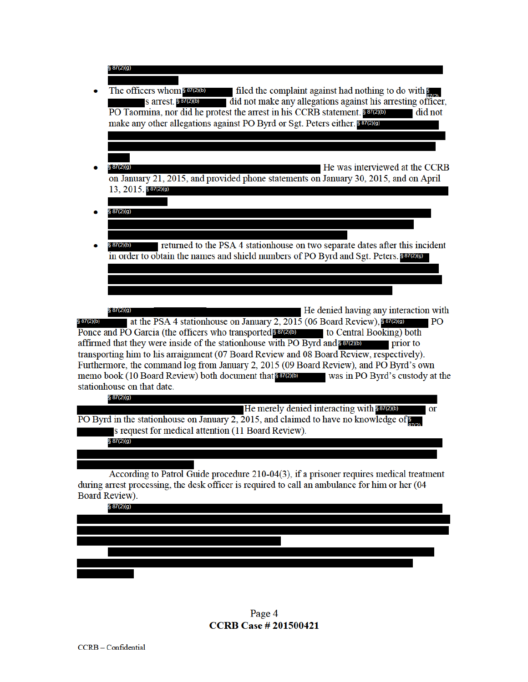|            | § 87(2)(g)                                                                                                                                                                                                                                                                                                                                                                                                                                                                                                                                                                                     |
|------------|------------------------------------------------------------------------------------------------------------------------------------------------------------------------------------------------------------------------------------------------------------------------------------------------------------------------------------------------------------------------------------------------------------------------------------------------------------------------------------------------------------------------------------------------------------------------------------------------|
|            | The officers whom \$87(2)(b)<br>filed the complaint against had nothing to do with<br>did not make any allegations against his arresting officer,<br>S arrest. § 87(2)(b)<br>PO Taormina, nor did he protest the arrest in his CCRB statement. \$87(2)(b)<br>did not<br>make any other allegations against PO Byrd or Sgt. Peters either. 887(2)(a)                                                                                                                                                                                                                                            |
|            |                                                                                                                                                                                                                                                                                                                                                                                                                                                                                                                                                                                                |
|            |                                                                                                                                                                                                                                                                                                                                                                                                                                                                                                                                                                                                |
|            | He was interviewed at the CCRB<br>§ 87(2)(g)<br>on January 21, 2015, and provided phone statements on January 30, 2015, and on April<br>13, 2015. \$87(2)(g)                                                                                                                                                                                                                                                                                                                                                                                                                                   |
|            |                                                                                                                                                                                                                                                                                                                                                                                                                                                                                                                                                                                                |
|            | § 87(2)(g)                                                                                                                                                                                                                                                                                                                                                                                                                                                                                                                                                                                     |
|            |                                                                                                                                                                                                                                                                                                                                                                                                                                                                                                                                                                                                |
|            | returned to the PSA 4 stationhouse on two separate dates after this incident<br>§ 87(2)(b)<br>in order to obtain the names and shield numbers of PO Byrd and Sgt. Peters. 887(2)(9)                                                                                                                                                                                                                                                                                                                                                                                                            |
|            |                                                                                                                                                                                                                                                                                                                                                                                                                                                                                                                                                                                                |
|            |                                                                                                                                                                                                                                                                                                                                                                                                                                                                                                                                                                                                |
|            | He denied having any interaction with<br>§ 87(2)(g)                                                                                                                                                                                                                                                                                                                                                                                                                                                                                                                                            |
| § 87(2)(b) | at the PSA 4 stationhouse on January 2, 2015 (06 Board Review), 887(2)(a)<br>P <sub>O</sub><br>Ponce and PO Garcia (the officers who transported 887200) to Central Booking) both<br>affirmed that they were inside of the stationhouse with PO Byrd and savato<br>prior to<br>transporting him to his arraignment (07 Board Review and 08 Board Review, respectively).<br>Furthermore, the command log from January 2, 2015 (09 Board Review), and PO Byrd's own<br>memo book (10 Board Review) both document that 887(2)(b)<br>was in PO Byrd's custody at the<br>stationhouse on that date. |
|            | § 87(2)(g)                                                                                                                                                                                                                                                                                                                                                                                                                                                                                                                                                                                     |
|            | He merely denied interacting with \$87(2)(b)<br><b>Or</b><br>PO Byrd in the stationhouse on January 2, 2015, and claimed to have no knowledge of<br>s request for medical attention (11 Board Review).                                                                                                                                                                                                                                                                                                                                                                                         |
|            | § 87(2)(g)                                                                                                                                                                                                                                                                                                                                                                                                                                                                                                                                                                                     |
|            |                                                                                                                                                                                                                                                                                                                                                                                                                                                                                                                                                                                                |
|            | According to Patrol Guide procedure 210-04(3), if a prisoner requires medical treatment<br>during arrest processing, the desk officer is required to call an ambulance for him or her (04                                                                                                                                                                                                                                                                                                                                                                                                      |
|            | Board Review).<br>§ 87(2)(g)                                                                                                                                                                                                                                                                                                                                                                                                                                                                                                                                                                   |
|            |                                                                                                                                                                                                                                                                                                                                                                                                                                                                                                                                                                                                |
|            |                                                                                                                                                                                                                                                                                                                                                                                                                                                                                                                                                                                                |
|            |                                                                                                                                                                                                                                                                                                                                                                                                                                                                                                                                                                                                |
|            |                                                                                                                                                                                                                                                                                                                                                                                                                                                                                                                                                                                                |
|            |                                                                                                                                                                                                                                                                                                                                                                                                                                                                                                                                                                                                |
|            |                                                                                                                                                                                                                                                                                                                                                                                                                                                                                                                                                                                                |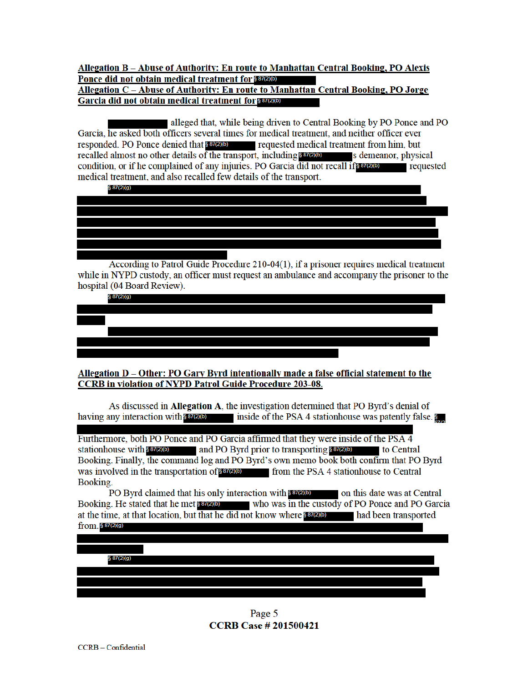#### Allegation B - Abuse of Authority: En route to Manhattan Central Booking, PO Alexis Ponce did not obtain medical treatment for service Allegation C - Abuse of Authority: En route to Manhattan Central Booking, PO Jorge Garcia did not obtain medical treatment for \$87(2)(b)

alleged that, while being driven to Central Booking by PO Ponce and PO Garcia, he asked both officers several times for medical treatment, and neither officer ever responded. PO Ponce denied that 80000 requested medical treatment from him, but recalled almost no other details of the transport, including  $8\frac{87}{20}$  s demeanor, physical condition, or if he complained of any injuries. PO Garcia did not recall if **SET(2)** requested medical treatment, and also recalled few details of the transport.

§ 87(2)(g)

According to Patrol Guide Procedure 210-04(1), if a prisoner requires medical treatment while in NYPD custody, an officer must request an ambulance and accompany the prisoner to the hospital (04 Board Review).

§ 87(2)(g)

## Allegation D – Other: PO Gary Byrd intentionally made a false official statement to the **CCRB** in violation of NYPD Patrol Guide Procedure 203-08.

As discussed in **Allegation A**, the investigation determined that PO Byrd's denial of having any interaction with  $\frac{867}{200}$  inside of the PSA 4 stationhouse was patently false.

Furthermore, both PO Ponce and PO Garcia affirmed that they were inside of the PSA 4 stationhouse with  $887(2)(b)$  and PO Byrd prior to transporting  $887(2)(b)$  to Central Booking. Finally, the command log and PO Byrd's own memo book both confirm that PO Byrd was involved in the transportation of 837(2) from the PSA 4 station house to Central Booking.

PO Byrd claimed that his only interaction with 887(2)(b) on this date was at Central Booking. He stated that he met **strated** who was in the custody of PO Ponce and PO Garcia at the time, at that location, but that he did not know where 887200 had been transported from. § 87(2)(g)

 $$87(2)(q)$